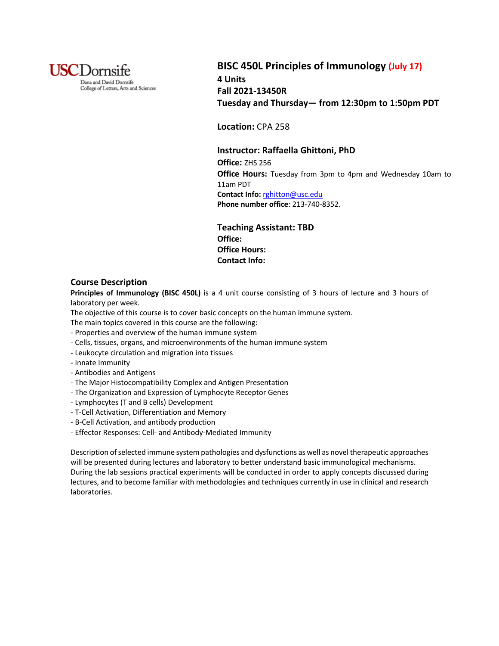

# **BISC 450L Principles of Immunology (July 17) 4 Units Fall 2021-13450R Tuesday and Thursday— from 12:30pm to 1:50pm PDT**

**Location:** CPA 258

## **Instructor: Raffaella Ghittoni, PhD**

**Office:** ZHS 256 **Office Hours:** Tuesday from 3pm to 4pm and Wednesday 10am to 11am PDT **Contact Info:** rghitton@usc.edu **Phone number office**: 213-740-8352.

**Teaching Assistant: TBD Office: Office Hours: Contact Info:**

## **Course Description**

**Principles of Immunology (BISC 450L)** is a 4 unit course consisting of 3 hours of lecture and 3 hours of laboratory per week.

The objective of this course is to cover basic concepts on the human immune system.

- The main topics covered in this course are the following:
- Properties and overview of the human immune system
- Cells, tissues, organs, and microenvironments of the human immune system
- Leukocyte circulation and migration into tissues
- Innate Immunity
- Antibodies and Antigens
- The Major Histocompatibility Complex and Antigen Presentation
- The Organization and Expression of Lymphocyte Receptor Genes
- Lymphocytes (T and B cells) Development
- T-Cell Activation, Differentiation and Memory
- B-Cell Activation, and antibody production
- Effector Responses: Cell- and Antibody-Mediated Immunity

Description of selected immune system pathologies and dysfunctions as well as novel therapeutic approaches will be presented during lectures and laboratory to better understand basic immunological mechanisms. During the lab sessions practical experiments will be conducted in order to apply concepts discussed during lectures, and to become familiar with methodologies and techniques currently in use in clinical and research laboratories.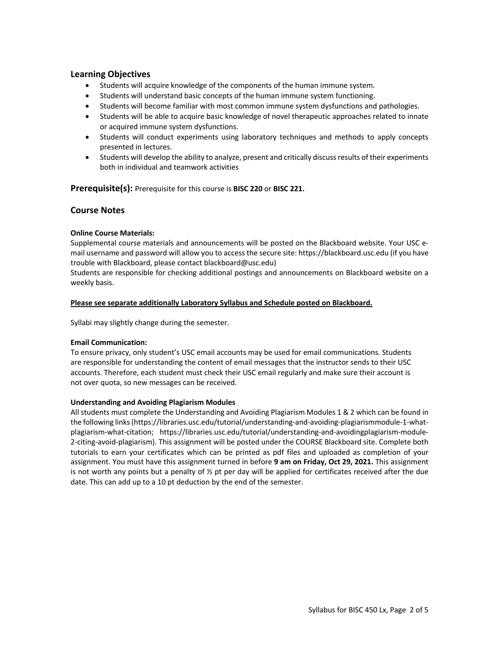# **Learning Objectives**

- Students will acquire knowledge of the components of the human immune system.
- Students will understand basic concepts of the human immune system functioning.
- Students will become familiar with most common immune system dysfunctions and pathologies.
- Students will be able to acquire basic knowledge of novel therapeutic approaches related to innate or acquired immune system dysfunctions.
- Students will conduct experiments using laboratory techniques and methods to apply concepts presented in lectures.
- Students will develop the ability to analyze, present and critically discuss results of their experiments both in individual and teamwork activities

**Prerequisite(s):** Prerequisite for this course is **BISC 220** or **BISC 221.**

# **Course Notes**

### **Online Course Materials:**

Supplemental course materials and announcements will be posted on the Blackboard website. Your USC email username and password will allow you to access the secure site: https://blackboard.usc.edu (if you have trouble with Blackboard, please contact blackboard@usc.edu)

Students are responsible for checking additional postings and announcements on Blackboard website on a weekly basis.

#### **Please see separate additionally Laboratory Syllabus and Schedule posted on Blackboard.**

Syllabi may slightly change during the semester.

#### **Email Communication:**

To ensure privacy, only student's USC email accounts may be used for email communications. Students are responsible for understanding the content of email messages that the instructor sends to their USC accounts. Therefore, each student must check their USC email regularly and make sure their account is not over quota, so new messages can be received.

#### **Understanding and Avoiding Plagiarism Modules**

All students must complete the Understanding and Avoiding Plagiarism Modules 1 & 2 which can be found in the following links (https://libraries.usc.edu/tutorial/understanding-and-avoiding-plagiarismmodule-1-whatplagiarism-what-citation; https://libraries.usc.edu/tutorial/understanding-and-avoidingplagiarism-module-2-citing-avoid-plagiarism). This assignment will be posted under the COURSE Blackboard site. Complete both tutorials to earn your certificates which can be printed as pdf files and uploaded as completion of your assignment. You must have this assignment turned in before **9 am on Friday, Oct 29, 2021.** This assignment is not worth any points but a penalty of  $\frac{1}{2}$  pt per day will be applied for certificates received after the due date. This can add up to a 10 pt deduction by the end of the semester.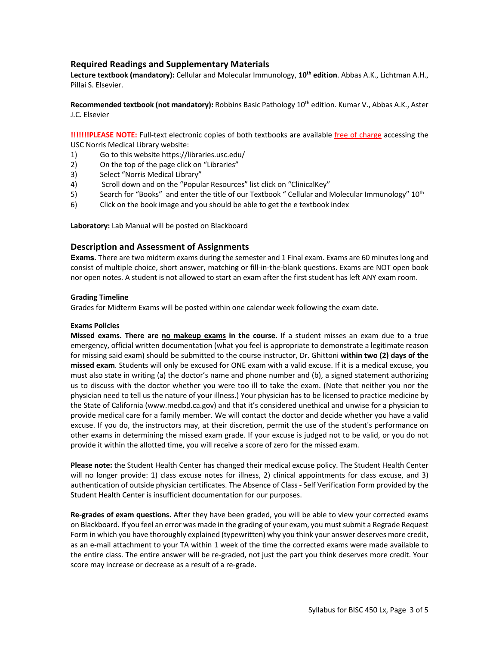# **Required Readings and Supplementary Materials**

**Lecture textbook (mandatory):** Cellular and Molecular Immunology, **10th edition**. Abbas A.K., Lichtman A.H., Pillai S. Elsevier.

**Recommended textbook (not mandatory):** Robbins Basic Pathology 10th edition. Kumar V., Abbas A.K., Aster J.C. Elsevier

**!!!!!!!PLEASE NOTE:** Full-text electronic copies of both textbooks are available free of charge accessing the USC Norris Medical Library website:

- 1) Go to this website https://libraries.usc.edu/
- 2) On the top of the page click on "Libraries"
- 3) Select "Norris Medical Library"
- 4) Scroll down and on the "Popular Resources" list click on "ClinicalKey"
- 5) Search for "Books" and enter the title of our Textbook " Cellular and Molecular Immunology" 10<sup>th</sup>
- 6) Click on the book image and you should be able to get the e textbook index

**Laboratory:** Lab Manual will be posted on Blackboard

### **Description and Assessment of Assignments**

**Exams.** There are two midterm exams during the semester and 1 Final exam. Exams are 60 minutes long and consist of multiple choice, short answer, matching or fill-in-the-blank questions. Exams are NOT open book nor open notes. A student is not allowed to start an exam after the first student has left ANY exam room.

#### **Grading Timeline**

Grades for Midterm Exams will be posted within one calendar week following the exam date.

#### **Exams Policies**

**Missed exams. There are no makeup exams in the course.** If a student misses an exam due to a true emergency, official written documentation (what you feel is appropriate to demonstrate a legitimate reason for missing said exam) should be submitted to the course instructor, Dr. Ghittoni **within two (2) days of the missed exam**. Students will only be excused for ONE exam with a valid excuse. If it is a medical excuse, you must also state in writing (a) the doctor's name and phone number and (b), a signed statement authorizing us to discuss with the doctor whether you were too ill to take the exam. (Note that neither you nor the physician need to tell us the nature of your illness.) Your physician has to be licensed to practice medicine by the State of California (www.medbd.ca.gov) and that it's considered unethical and unwise for a physician to provide medical care for a family member. We will contact the doctor and decide whether you have a valid excuse. If you do, the instructors may, at their discretion, permit the use of the student's performance on other exams in determining the missed exam grade. If your excuse is judged not to be valid, or you do not provide it within the allotted time, you will receive a score of zero for the missed exam.

**Please note:** the Student Health Center has changed their medical excuse policy. The Student Health Center will no longer provide: 1) class excuse notes for illness, 2) clinical appointments for class excuse, and 3) authentication of outside physician certificates. The Absence of Class - Self Verification Form provided by the Student Health Center is insufficient documentation for our purposes.

**Re-grades of exam questions.** After they have been graded, you will be able to view your corrected exams on Blackboard. If you feel an error was made in the grading of your exam, you must submit a Regrade Request Form in which you have thoroughly explained (typewritten) why you think your answer deserves more credit, as an e-mail attachment to your TA within 1 week of the time the corrected exams were made available to the entire class. The entire answer will be re-graded, not just the part you think deserves more credit. Your score may increase or decrease as a result of a re-grade.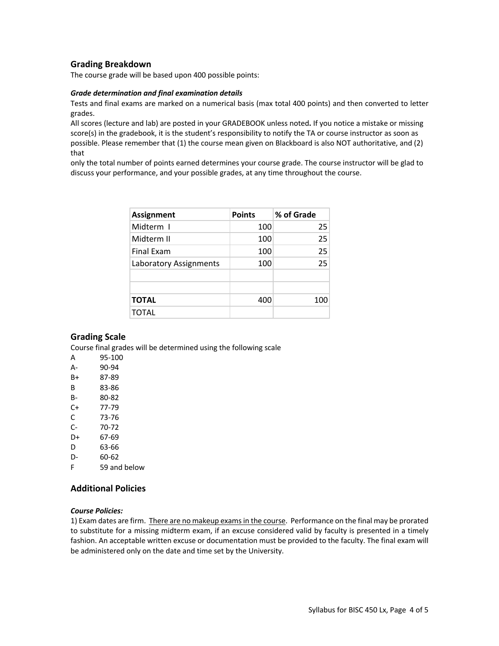# **Grading Breakdown**

The course grade will be based upon 400 possible points:

#### *Grade determination and final examination details*

Tests and final exams are marked on a numerical basis (max total 400 points) and then converted to letter grades.

All scores (lecture and lab) are posted in your GRADEBOOK unless noted**.** If you notice a mistake or missing score(s) in the gradebook, it is the student's responsibility to notify the TA or course instructor as soon as possible. Please remember that (1) the course mean given on Blackboard is also NOT authoritative, and (2) that

only the total number of points earned determines your course grade. The course instructor will be glad to discuss your performance, and your possible grades, at any time throughout the course.

| <b>Assignment</b>      | <b>Points</b> | % of Grade |
|------------------------|---------------|------------|
| Midterm I              | 100           | 25         |
| Midterm II             | 100           | 25         |
| <b>Final Exam</b>      | 100           | 25         |
| Laboratory Assignments | 100           | 25         |
|                        |               |            |
|                        |               |            |
| <b>TOTAL</b>           | 400           | 100        |
| <b>TOTAL</b>           |               |            |

### **Grading Scale**

Course final grades will be determined using the following scale

- A 95-100 A- 90-94 B+ 87-89 B 83-86 B- 80-82 C+ 77-79 C 73-76 C- 70-72 D+ 67-69 D 63-66
- D- 60-62

F 59 and below

## **Additional Policies**

#### *Course Policies:*

1) Exam dates are firm. There are no makeup exams in the course. Performance on the final may be prorated to substitute for a missing midterm exam, if an excuse considered valid by faculty is presented in a timely fashion. An acceptable written excuse or documentation must be provided to the faculty. The final exam will be administered only on the date and time set by the University.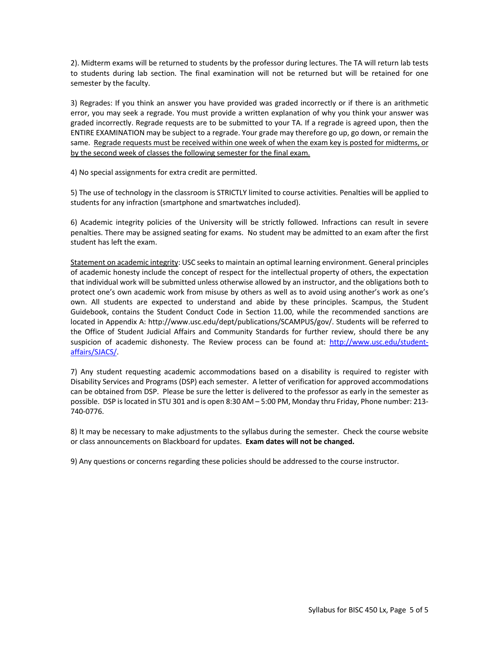2). Midterm exams will be returned to students by the professor during lectures. The TA will return lab tests to students during lab section. The final examination will not be returned but will be retained for one semester by the faculty.

3) Regrades: If you think an answer you have provided was graded incorrectly or if there is an arithmetic error, you may seek a regrade. You must provide a written explanation of why you think your answer was graded incorrectly. Regrade requests are to be submitted to your TA. If a regrade is agreed upon, then the ENTIRE EXAMINATION may be subject to a regrade. Your grade may therefore go up, go down, or remain the same. Regrade requests must be received within one week of when the exam key is posted for midterms, or by the second week of classes the following semester for the final exam.

4) No special assignments for extra credit are permitted.

5) The use of technology in the classroom is STRICTLY limited to course activities. Penalties will be applied to students for any infraction (smartphone and smartwatches included).

6) Academic integrity policies of the University will be strictly followed. Infractions can result in severe penalties. There may be assigned seating for exams. No student may be admitted to an exam after the first student has left the exam.

Statement on academic integrity: USC seeks to maintain an optimal learning environment. General principles of academic honesty include the concept of respect for the intellectual property of others, the expectation that individual work will be submitted unless otherwise allowed by an instructor, and the obligations both to protect one's own academic work from misuse by others as well as to avoid using another's work as one's own. All students are expected to understand and abide by these principles. Scampus, the Student Guidebook, contains the Student Conduct Code in Section 11.00, while the recommended sanctions are located in Appendix A: http://www.usc.edu/dept/publications/SCAMPUS/gov/. Students will be referred to the Office of Student Judicial Affairs and Community Standards for further review, should there be any suspicion of academic dishonesty. The Review process can be found at: http://www.usc.edu/studentaffairs/SJACS/.

7) Any student requesting academic accommodations based on a disability is required to register with Disability Services and Programs (DSP) each semester. A letter of verification for approved accommodations can be obtained from DSP. Please be sure the letter is delivered to the professor as early in the semester as possible. DSP is located in STU 301 and is open 8:30 AM – 5:00 PM, Monday thru Friday, Phone number: 213- 740-0776.

8) It may be necessary to make adjustments to the syllabus during the semester. Check the course website or class announcements on Blackboard for updates. **Exam dates will not be changed.**

9) Any questions or concerns regarding these policies should be addressed to the course instructor.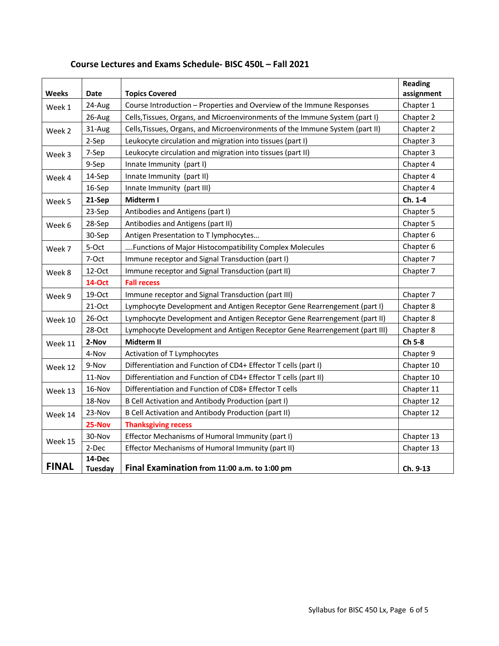| <b>Weeks</b>     | Date                                                                                                                                                                      | <b>Topics Covered</b>                                                                                                                                       | <b>Reading</b><br>assignment |
|------------------|---------------------------------------------------------------------------------------------------------------------------------------------------------------------------|-------------------------------------------------------------------------------------------------------------------------------------------------------------|------------------------------|
|                  |                                                                                                                                                                           | Course Introduction - Properties and Overview of the Immune Responses                                                                                       | Chapter 1                    |
| 24-Aug<br>Week 1 |                                                                                                                                                                           |                                                                                                                                                             | Chapter 2                    |
| 26-Aug           |                                                                                                                                                                           | Cells, Tissues, Organs, and Microenvironments of the Immune System (part I)<br>Cells, Tissues, Organs, and Microenvironments of the Immune System (part II) | Chapter 2                    |
| 31-Aug<br>Week 2 |                                                                                                                                                                           |                                                                                                                                                             | Chapter 3                    |
|                  | 2-Sep                                                                                                                                                                     | Leukocyte circulation and migration into tissues (part I)                                                                                                   |                              |
| Week 3           | Leukocyte circulation and migration into tissues (part II)<br>7-Sep<br>9-Sep                                                                                              |                                                                                                                                                             | Chapter 3                    |
|                  |                                                                                                                                                                           | Innate Immunity (part I)                                                                                                                                    | Chapter 4                    |
| Week 4           | 14-Sep                                                                                                                                                                    | Innate Immunity (part II)                                                                                                                                   | Chapter 4<br>Chapter 4       |
|                  | 16-Sep                                                                                                                                                                    | Innate Immunity (part III)                                                                                                                                  |                              |
| Week 5           | Midterm I<br>21-Sep                                                                                                                                                       |                                                                                                                                                             | Ch. 1-4                      |
| 23-Sep           |                                                                                                                                                                           | Antibodies and Antigens (part I)                                                                                                                            | Chapter 5                    |
| Week 6           | 28-Sep<br>Antibodies and Antigens (part II)                                                                                                                               |                                                                                                                                                             | Chapter 5                    |
| 30-Sep           |                                                                                                                                                                           | Antigen Presentation to T lymphocytes                                                                                                                       | Chapter 6                    |
| 5-Oct<br>Week 7  |                                                                                                                                                                           | Functions of Major Histocompatibility Complex Molecules                                                                                                     | Chapter 6                    |
|                  | 7-Oct<br>Immune receptor and Signal Transduction (part I)                                                                                                                 |                                                                                                                                                             | Chapter 7                    |
| Week 8           | Immune receptor and Signal Transduction (part II)<br>12-Oct<br><b>14-Oct</b><br><b>Fall recess</b>                                                                        |                                                                                                                                                             | Chapter 7                    |
|                  |                                                                                                                                                                           |                                                                                                                                                             |                              |
| Week 9           | Immune receptor and Signal Transduction (part III)<br>19-Oct                                                                                                              |                                                                                                                                                             | Chapter 7                    |
|                  | $21-Oct$                                                                                                                                                                  | Lymphocyte Development and Antigen Receptor Gene Rearrengement (part I)                                                                                     |                              |
| Week 10          | Lymphocyte Development and Antigen Receptor Gene Rearrengement (part II)<br>26-Oct<br>28-Oct<br>Lymphocyte Development and Antigen Receptor Gene Rearrengement (part III) |                                                                                                                                                             | Chapter 8                    |
|                  |                                                                                                                                                                           |                                                                                                                                                             | Chapter 8                    |
| Week 11          | 2-Nov                                                                                                                                                                     | Midterm II                                                                                                                                                  | Ch 5-8                       |
|                  | 4-Nov                                                                                                                                                                     | Activation of T Lymphocytes                                                                                                                                 | Chapter 9                    |
| Week 12          | 9-Nov                                                                                                                                                                     | Differentiation and Function of CD4+ Effector T cells (part I)                                                                                              | Chapter 10                   |
|                  | 11-Nov                                                                                                                                                                    | Differentiation and Function of CD4+ Effector T cells (part II)                                                                                             | Chapter 10                   |
| Week 13          | 16-Nov                                                                                                                                                                    | Differentiation and Function of CD8+ Effector T cells                                                                                                       | Chapter 11                   |
|                  | 18-Nov                                                                                                                                                                    | B Cell Activation and Antibody Production (part I)                                                                                                          | Chapter 12                   |
| Week 14          | 23-Nov                                                                                                                                                                    | B Cell Activation and Antibody Production (part II)                                                                                                         | Chapter 12                   |
|                  | 25-Nov                                                                                                                                                                    | <b>Thanksgiving recess</b>                                                                                                                                  |                              |
|                  | 30-Nov                                                                                                                                                                    | Effector Mechanisms of Humoral Immunity (part I)                                                                                                            | Chapter 13                   |
| Week 15          | 2-Dec                                                                                                                                                                     | Effector Mechanisms of Humoral Immunity (part II)                                                                                                           | Chapter 13                   |
|                  | 14-Dec                                                                                                                                                                    |                                                                                                                                                             |                              |
| <b>FINAL</b>     | <b>Tuesday</b>                                                                                                                                                            | Final Examination from 11:00 a.m. to 1:00 pm                                                                                                                | Ch. 9-13                     |

# **Course Lectures and Exams Schedule- BISC 450L – Fall 2021**